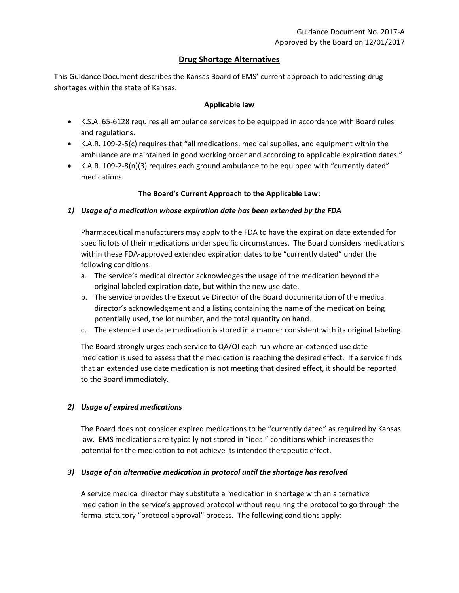# **Drug Shortage Alternatives**

This Guidance Document describes the Kansas Board of EMS' current approach to addressing drug shortages within the state of Kansas.

#### **Applicable law**

- K.S.A. 65-6128 requires all ambulance services to be equipped in accordance with Board rules and regulations.
- K.A.R. 109-2-5(c) requires that "all medications, medical supplies, and equipment within the ambulance are maintained in good working order and according to applicable expiration dates."
- K.A.R. 109-2-8(n)(3) requires each ground ambulance to be equipped with "currently dated" medications.

### **The Board's Current Approach to the Applicable Law:**

## *1) Usage of a medication whose expiration date has been extended by the FDA*

Pharmaceutical manufacturers may apply to the FDA to have the expiration date extended for specific lots of their medications under specific circumstances. The Board considers medications within these FDA-approved extended expiration dates to be "currently dated" under the following conditions:

- a. The service's medical director acknowledges the usage of the medication beyond the original labeled expiration date, but within the new use date.
- b. The service provides the Executive Director of the Board documentation of the medical director's acknowledgement and a listing containing the name of the medication being potentially used, the lot number, and the total quantity on hand.
- c. The extended use date medication is stored in a manner consistent with its original labeling.

The Board strongly urges each service to QA/QI each run where an extended use date medication is used to assess that the medication is reaching the desired effect. If a service finds that an extended use date medication is not meeting that desired effect, it should be reported to the Board immediately.

### *2) Usage of expired medications*

The Board does not consider expired medications to be "currently dated" as required by Kansas law. EMS medications are typically not stored in "ideal" conditions which increases the potential for the medication to not achieve its intended therapeutic effect.

### *3) Usage of an alternative medication in protocol until the shortage has resolved*

A service medical director may substitute a medication in shortage with an alternative medication in the service's approved protocol without requiring the protocol to go through the formal statutory "protocol approval" process. The following conditions apply: